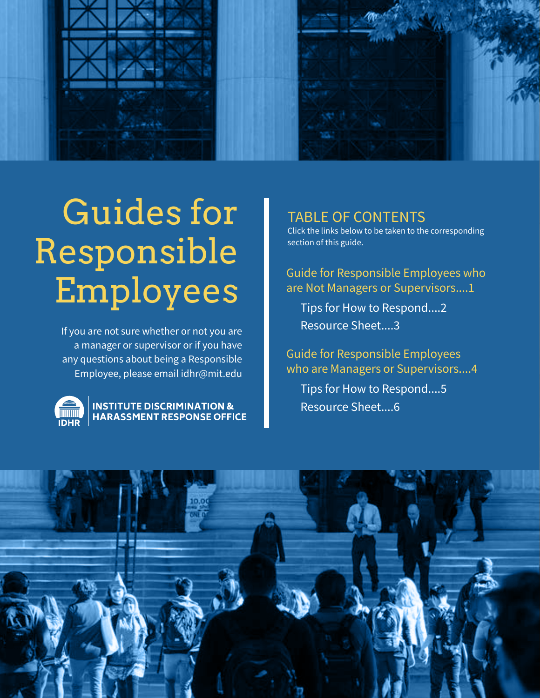

# Guides for Responsible Employees

If you are not sure whether or not you are a manager or supervisor or if you have any questions about being a Responsible Employee, please email idhr@mit.edu



### **INSTITUTE DISCRIMINATION & HARASSMENT RESPONSE OFFICE**

# TABLE OF CONTENTS

Click the links below to be taken to the corresponding section of this guide.

Guide for Responsible Employees who are Not Managers or Supervisors....1

Tips for How to Respond....2 Resource Sheet....3

Guide for Responsible Employees who are Managers or Supervisors....4

Tips for How to Respond....5 Resource Sheet....6

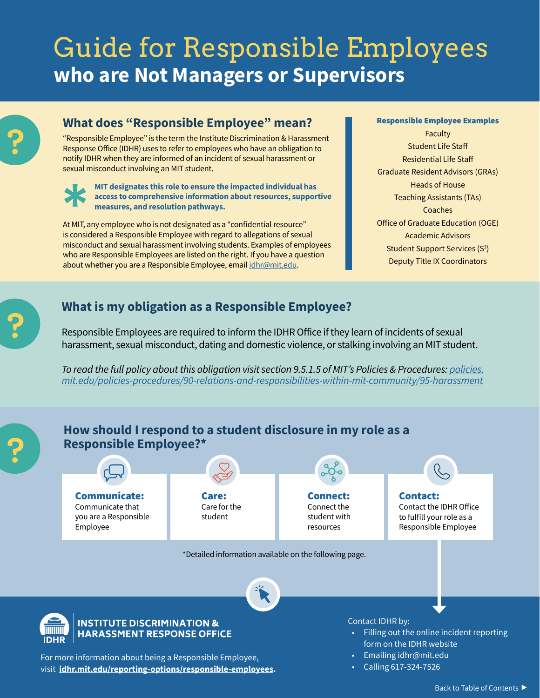# Guide for Responsible Employees **who are Not Managers or Supervisors**

# **What does "Responsible Employee" mean?**

"Responsible Employee" is the term the Institute Discrimination & Harassment Response Office (IDHR) uses to refer to employees who have an obligation to notify IDHR when they are informed of an incident of sexual harassment or sexual misconduct involving an MIT student.

**MIT designates this role to ensure the impacted individual has access to comprehensive information about resources, supportive measures, and resolution pathways.**

At MIT, any employee who is not designated as a "confidential resource" is considered a Responsible Employee with regard to allegations of sexual misconduct and sexual harassment involving students. Examples of employees who are Responsible Employees are listed on the right. If you have a question about whether you are a Responsible Employee, email [idhr@mit.edu.](mailto:idhr%40mit.edu?subject=)

### Responsible Employee Examples

Faculty Student Life Staff Residential Life Staff Graduate Resident Advisors (GRAs) Heads of House Teaching Assistants (TAs) Coaches Office of Graduate Education (OGE) Academic Advisors Student Support Services (S<sup>3</sup>) Deputy Title IX Coordinators

# **What is my obligation as a Responsible Employee?**

Responsible Employees are required to inform the IDHR Office if they learn of incidents of sexual harassment, sexual misconduct, dating and domestic violence, or stalking involving an MIT student.

*To read the full policy about this obligation visit section 9.5.1.5 of MIT's Policies & Procedures: [policies.](https://policies.mit.edu/policies-procedures/90-relations-and-responsibilities-within-mit-community/95-harassment) [mit.edu/policies-procedures/90-relations-and-responsibilities-within-mit-community/95-harassment](https://policies.mit.edu/policies-procedures/90-relations-and-responsibilities-within-mit-community/95-harassment)*



visit **<idhr.mit.edu/reporting-options/responsible-employees>.**

• Calling 617-324-7526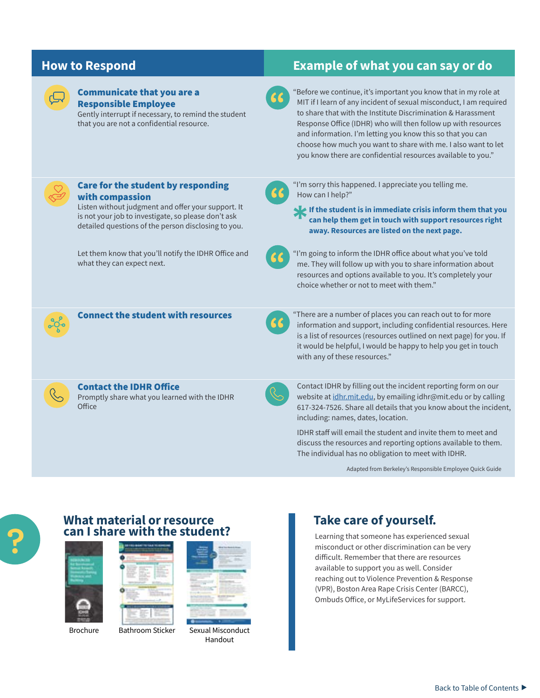

### Communicate that you are a Responsible Employee

Gently interrupt if necessary, to remind the student that you are not a confidential resource.

# **How to Respond Example of what you can say or do**



"Before we continue, it's important you know that in my role at MIT if I learn of any incident of sexual misconduct, I am required to share that with the Institute Discrimination & Harassment Response Office (IDHR) who will then follow up with resources and information. I'm letting you know this so that you can choose how much you want to share with me. I also want to let you know there are confidential resources available to you."

| Care for the student by responding<br>with compassion<br>Listen without judgment and offer your support. It<br>is not your job to investigate, so please don't ask<br>detailed questions of the person disclosing to you. | "I'm sorry this happened. I appreciate you telling me.<br>How can I help?"<br>If the student is in immediate crisis inform them that you<br>can help them get in touch with support resources right<br>away. Resources are listed on the next page.                                                       |
|---------------------------------------------------------------------------------------------------------------------------------------------------------------------------------------------------------------------------|-----------------------------------------------------------------------------------------------------------------------------------------------------------------------------------------------------------------------------------------------------------------------------------------------------------|
| Let them know that you'll notify the IDHR Office and<br>what they can expect next.                                                                                                                                        | "I'm going to inform the IDHR office about what you've told<br>me. They will follow up with you to share information about<br>resources and options available to you. It's completely your<br>choice whether or not to meet with them."                                                                   |
| <b>Connect the student with resources</b>                                                                                                                                                                                 | "There are a number of places you can reach out to for more<br>information and support, including confidential resources. Here<br>is a list of resources (resources outlined on next page) for you. If<br>it would be helpful, I would be happy to help you get in touch<br>with any of these resources." |
| <b>Contact the IDHR Office</b><br>Promptly share what you learned with the IDHR<br>Office                                                                                                                                 | Contact IDHR by filling out the incident reporting form on our<br>website at idhr.mit.edu, by emailing idhr@mit.edu or by calling<br>617-324-7526. Share all details that you know about the incident,<br>including: names, dates, location.                                                              |
|                                                                                                                                                                                                                           | IDHR staff will email the student and invite them to meet and<br>discuss the resources and reporting options available to them.<br>The individual has no obligation to meet with IDHR.                                                                                                                    |

Adapted from Berkeley's Responsible Employee Quick Guide



### **What material or resource can I share with the student?** Learning that someone has experienced sexual



[Brochure](http://idhr.mit.edu/sites/default/files/documents/Web_MIT%20IDHR%20Resources%20for%20Survivors%20Brochure%20v091020.pdf) [Bathroom Sticker](http://idhr.mit.edu/education/materials/bathroom-stickers)

| ı      | ı                        |  |
|--------|--------------------------|--|
| ۲<br>٠ |                          |  |
|        | $\overline{\phantom{a}}$ |  |
|        |                          |  |
|        | . .                      |  |

[Sexual Misconduct](http://idhr.mit.edu/sites/default/files/documents/IDHR%20Sexual%20Misconduct%20Resource%20Sheet%20v6.1.pdf)  Handout

# **Take care of yourself.**

misconduct or other discrimination can be very difficult. Remember that there are resources available to support you as well. Consider reaching out to Violence Prevention & Response (VPR), Boston Area Rape Crisis Center (BARCC), Ombuds Office, or MyLifeServices for support.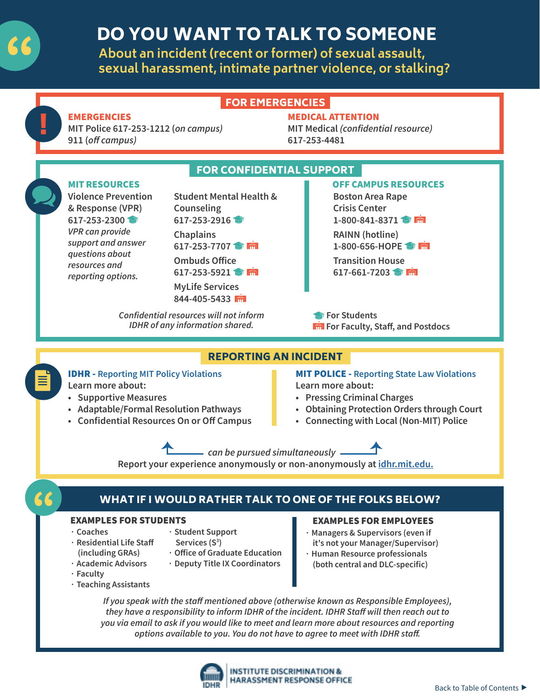

# DO YOU WANT TO TALK TO SOMEONE

**About an incident (recent or former) of sexual assault, sexual harassment, intimate partner violence, or stalking?**



*they have a responsibility to inform IDHR of the incident. IDHR Staff will then reach out to you via email to ask if you would like to meet and learn more about resources and reporting options available to you. You do not have to agree to meet with IDHR staff.*

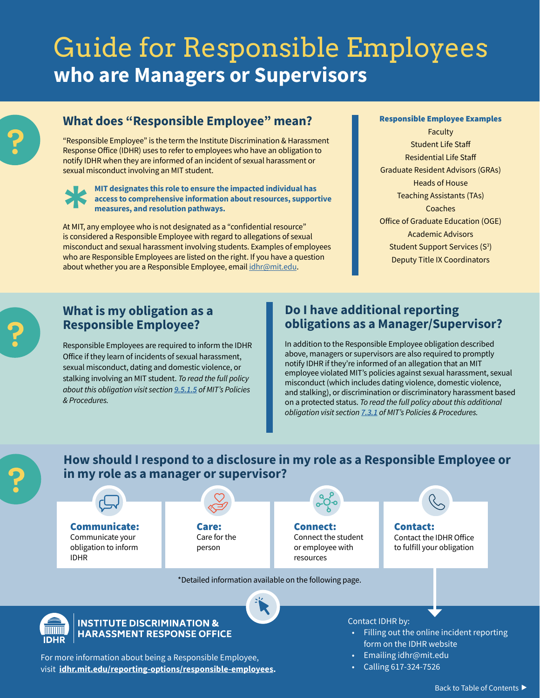# Guide for Responsible Employees **who are Managers or Supervisors**

# **What does "Responsible Employee" mean?**

"Responsible Employee" is the term the Institute Discrimination & Harassment Response Office (IDHR) uses to refer to employees who have an obligation to notify IDHR when they are informed of an incident of sexual harassment or sexual misconduct involving an MIT student.

### **MIT designates this role to ensure the impacted individual has access to comprehensive information about resources, supportive measures, and resolution pathways.**

At MIT, any employee who is not designated as a "confidential resource" is considered a Responsible Employee with regard to allegations of sexual misconduct and sexual harassment involving students. Examples of employees who are Responsible Employees are listed on the right. If you have a question about whether you are a Responsible Employee, email [idhr@mit.edu.](mailto:idhr%40mit.edu?subject=)

### Responsible Employee Examples

Faculty Student Life Staff Residential Life Staff Graduate Resident Advisors (GRAs) Heads of House Teaching Assistants (TAs) **Coaches** Office of Graduate Education (OGE) Academic Advisors Student Support Services (S<sup>3</sup>) Deputy Title IX Coordinators

## **What is my obligation as a Responsible Employee?**

Responsible Employees are required to inform the IDHR Office if they learn of incidents of sexual harassment, sexual misconduct, dating and domestic violence, or stalking involving an MIT student. *To read the full policy about this obligation visit section [9.5.1.5](https://policies.mit.edu/policies-procedures/90-relations-and-responsibilities-within-mit-community/95-harassment) of MIT's Policies & Procedures.*

# **Do I have additional reporting obligations as a Manager/Supervisor?**

In addition to the Responsible Employee obligation described above, managers or supervisors are also required to promptly notify IDHR if they're informed of an allegation that an MIT employee violated MIT's policies against sexual harassment, sexual misconduct (which includes dating violence, domestic violence, and stalking), or discrimination or discriminatory harassment based on a protected status. *To read the full policy about this additional obligation visit section [7.3.1](https://policies.mit.edu/policies-procedures/70-general-employment-policies/73-responsibilities-supervisors#7.3.1) of MIT's Policies & Procedures.*

**How should I respond to a disclosure in my role as a Responsible Employee or in my role as a manager or supervisor?**

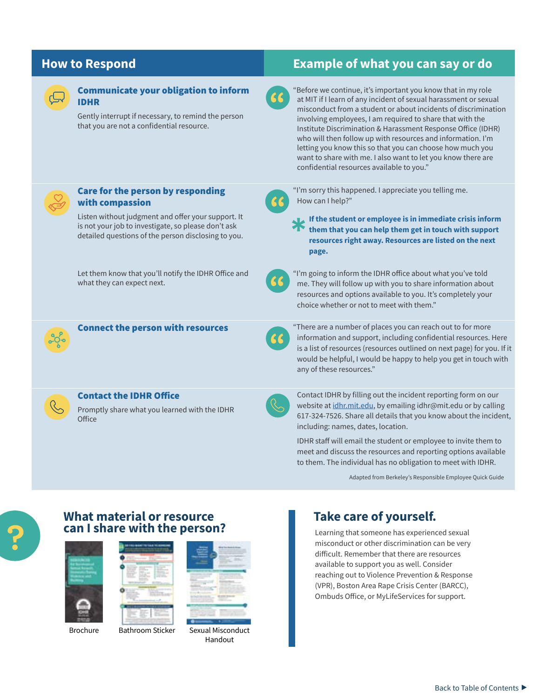

### Communicate your obligation to inform IDHR

### **How to Respond Example of what you can say or do**

"Before we continue, it's important you know that in my role at MIT if I learn of any incident of sexual harassment or sexual

| Gently interrupt if necessary, to remind the person<br>that you are not a confidential resource.                                                                                                                               | misconduct from a student or about incidents of discrimination<br>involving employees, I am required to share that with the<br>Institute Discrimination & Harassment Response Office (IDHR)<br>who will then follow up with resources and information. I'm<br>letting you know this so that you can choose how much you<br>want to share with me. I also want to let you know there are<br>confidential resources available to you." |
|--------------------------------------------------------------------------------------------------------------------------------------------------------------------------------------------------------------------------------|--------------------------------------------------------------------------------------------------------------------------------------------------------------------------------------------------------------------------------------------------------------------------------------------------------------------------------------------------------------------------------------------------------------------------------------|
| Care for the person by responding<br>66<br>with compassion<br>Listen without judgment and offer your support. It<br>is not your job to investigate, so please don't ask<br>detailed questions of the person disclosing to you. | "I'm sorry this happened. I appreciate you telling me.<br>How can I help?"<br>If the student or employee is in immediate crisis inform<br>them that you can help them get in touch with support<br>resources right away. Resources are listed on the next<br>page.                                                                                                                                                                   |
| Let them know that you'll notify the IDHR Office and<br>what they can expect next.                                                                                                                                             | "I'm going to inform the IDHR office about what you've told<br>me. They will follow up with you to share information about<br>resources and options available to you. It's completely your<br>choice whether or not to meet with them."                                                                                                                                                                                              |
| <b>Connect the person with resources</b><br>66                                                                                                                                                                                 | "There are a number of places you can reach out to for more<br>information and support, including confidential resources. Here<br>is a list of resources (resources outlined on next page) for you. If it<br>would be helpful, I would be happy to help you get in touch with<br>any of these resources."                                                                                                                            |
| <b>Contact the IDHR Office</b><br>Promptly share what you learned with the IDHR<br>Office                                                                                                                                      | Contact IDHR by filling out the incident reporting form on our<br>website at idhr.mit.edu, by emailing idhr@mit.edu or by calling<br>617-324-7526. Share all details that you know about the incident,<br>including: names, dates, location.                                                                                                                                                                                         |
|                                                                                                                                                                                                                                | IDHR staff will email the student or employee to invite them to<br>meet and discuss the resources and reporting options available                                                                                                                                                                                                                                                                                                    |

Adapted from Berkeley's Responsible Employee Quick Guide

## **What material or resource can I share with the person?** Learning that someone has experienced sexual





[Brochure](http://idhr.mit.edu/sites/default/files/documents/Web_MIT%20IDHR%20Resources%20for%20Survivors%20Brochure%20v091020.pdf) [Bathroom Sticker](http://idhr.mit.edu/education/materials/bathroom-stickers)



[Sexual Misconduct](http://idhr.mit.edu/sites/default/files/documents/IDHR%20Sexual%20Misconduct%20Resource%20Sheet%20v6.1.pdf)  Handout

# **Take care of yourself.**

misconduct or other discrimination can be very difficult. Remember that there are resources available to support you as well. Consider reaching out to Violence Prevention & Response (VPR), Boston Area Rape Crisis Center (BARCC), Ombuds Office, or MyLifeServices for support.

to them. The individual has no obligation to meet with IDHR.